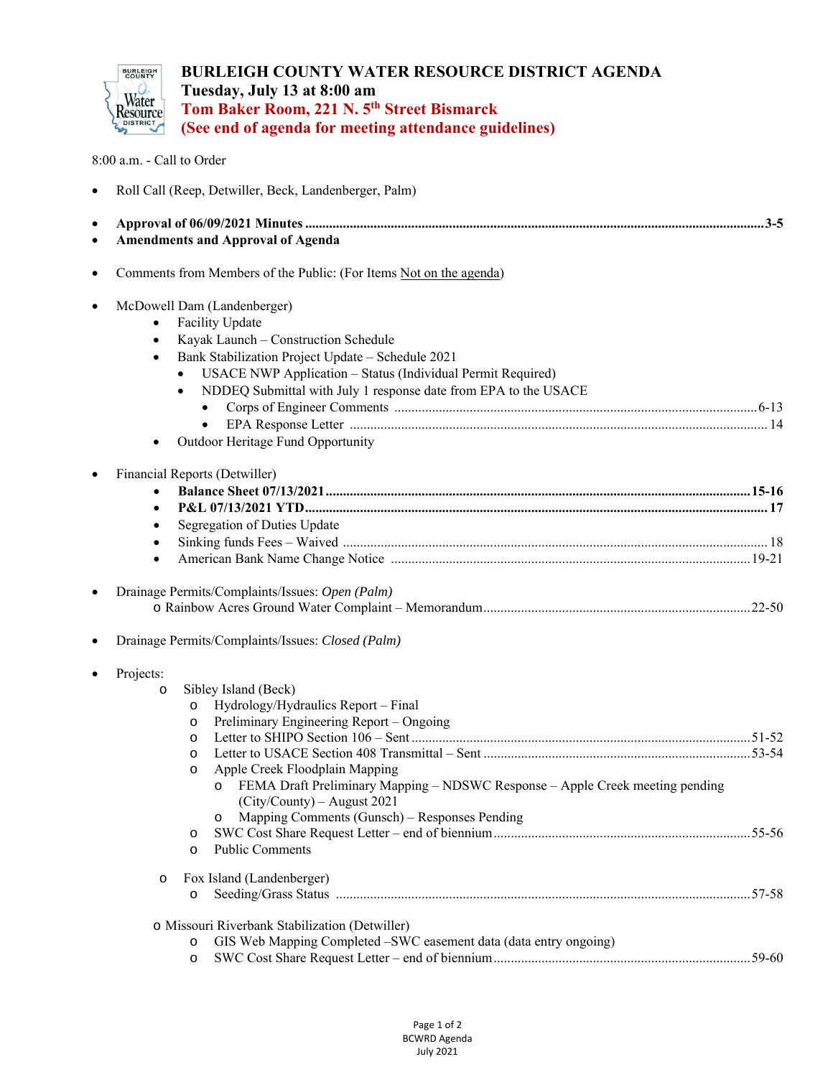

**BURLEIGH COUNTY WATER RESOURCE DISTRICT AGENDA Tuesday, July 13 at 8:00 am Tom Baker Room, 221 N. 5th Street Bismarck (See end of agenda for meeting attendance guidelines)**

8:00 a.m. - Call to Order

|  |  |  |  |  | Roll Call (Reep, Detwiller, Beck, Landenberger, Palm) |  |
|--|--|--|--|--|-------------------------------------------------------|--|
|--|--|--|--|--|-------------------------------------------------------|--|

| • Amendments and Approval of Agenda |  |
|-------------------------------------|--|

| $\bullet$ | Comments from Members of the Public: (For Items Not on the agenda)                                                                                                                                                                                                                                                                                                                           |  |
|-----------|----------------------------------------------------------------------------------------------------------------------------------------------------------------------------------------------------------------------------------------------------------------------------------------------------------------------------------------------------------------------------------------------|--|
| $\bullet$ | McDowell Dam (Landenberger)<br>Facility Update<br>Kayak Launch - Construction Schedule<br>$\bullet$<br>Bank Stabilization Project Update - Schedule 2021<br>$\bullet$<br>USACE NWP Application - Status (Individual Permit Required)<br>NDDEQ Submittal with July 1 response date from EPA to the USACE<br>$\bullet$<br>Outdoor Heritage Fund Opportunity                                    |  |
| $\bullet$ | Financial Reports (Detwiller)<br>$\bullet$                                                                                                                                                                                                                                                                                                                                                   |  |
|           | Segregation of Duties Update                                                                                                                                                                                                                                                                                                                                                                 |  |
|           | Drainage Permits/Complaints/Issues: Open (Palm)                                                                                                                                                                                                                                                                                                                                              |  |
| $\bullet$ | Drainage Permits/Complaints/Issues: Closed (Palm)<br>Projects:                                                                                                                                                                                                                                                                                                                               |  |
|           | Sibley Island (Beck)<br>$\circ$<br>Hydrology/Hydraulics Report - Final<br>$\circ$<br>Preliminary Engineering Report – Ongoing<br>$\circ$<br>$\circ$<br>$\circ$<br>Apple Creek Floodplain Mapping<br>$\circ$<br>FEMA Draft Preliminary Mapping - NDSWC Response - Apple Creek meeting pending<br>(City/County) - August 2021<br>Mapping Comments (Gunsch) - Responses Pending<br>$\circ$<br>O |  |
|           | <b>Public Comments</b><br>$\circ$<br>Fox Island (Landenberger)<br>$\circ$<br>$\circ$                                                                                                                                                                                                                                                                                                         |  |
|           | o Missouri Riverbank Stabilization (Detwiller)<br>GIS Web Mapping Completed -SWC easement data (data entry ongoing)<br>$\circ$<br>$\circ$                                                                                                                                                                                                                                                    |  |